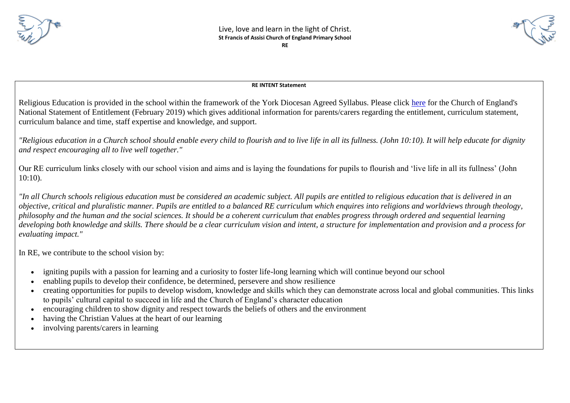





## **RE INTENT Statement**

Religious Education is provided in the school within the framework of the York Diocesan Agreed Syllabus. Please click [here](http://www.stfrancispri.org.uk/wp-content/uploads/2019/03/RE-Statement-of-Entitlement-for-Church-Schools.pdf) for the Church of England's National Statement of Entitlement (February 2019) which gives additional information for parents/carers regarding the entitlement, curriculum statement, curriculum balance and time, staff expertise and knowledge, and support.

*"Religious education in a Church school should enable every child to flourish and to live life in all its fullness. (John 10:10). It will help educate for dignity and respect encouraging all to live well together."*

Our RE curriculum links closely with our school vision and aims and is laying the foundations for pupils to flourish and 'live life in all its fullness' (John 10:10).

*"In all Church schools religious education must be considered an academic subject. All pupils are entitled to religious education that is delivered in an objective, critical and pluralistic manner. Pupils are entitled to a balanced RE curriculum which enquires into religions and worldviews through theology, philosophy and the human and the social sciences. It should be a coherent curriculum that enables progress through ordered and sequential learning developing both knowledge and skills. There should be a clear curriculum vision and intent, a structure for implementation and provision and a process for evaluating impact."*

In RE, we contribute to the school vision by:

- igniting pupils with a passion for learning and a curiosity to foster life-long learning which will continue beyond our school
- enabling pupils to develop their confidence, be determined, persevere and show resilience
- creating opportunities for pupils to develop wisdom, knowledge and skills which they can demonstrate across local and global communities. This links to pupils' cultural capital to succeed in life and the Church of England's character education
- encouraging children to show dignity and respect towards the beliefs of others and the environment
- having the Christian Values at the heart of our learning
- involving parents/carers in learning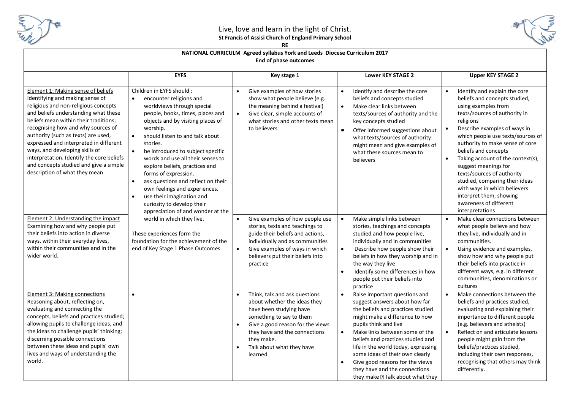

## Live, love and learn in the light of Christ. **St Francis of Assisi Church of England Primary School**



#### **RE**

### **NATIONAL CURRICULM Agreed syllabus York and Leeds Diocese Curriculum 2017 End of phase outcomes**

|                                                                                                                                                                                                                                                                                                                                                                                                                                                                                 | <b>EYFS</b>                                                                                                                                                                                                                                                                                                                                                                                                                                                                                                                                                              | Key stage 1                                                                                                                                                                                                                                                               | <b>Lower KEY STAGE 2</b>                                                                                                                                                                                                                                                                                                                                                                                                                          | <b>Upper KEY STAGE 2</b>                                                                                                                                                                                                                                                                                                                                                                                                                                                                                                                        |  |
|---------------------------------------------------------------------------------------------------------------------------------------------------------------------------------------------------------------------------------------------------------------------------------------------------------------------------------------------------------------------------------------------------------------------------------------------------------------------------------|--------------------------------------------------------------------------------------------------------------------------------------------------------------------------------------------------------------------------------------------------------------------------------------------------------------------------------------------------------------------------------------------------------------------------------------------------------------------------------------------------------------------------------------------------------------------------|---------------------------------------------------------------------------------------------------------------------------------------------------------------------------------------------------------------------------------------------------------------------------|---------------------------------------------------------------------------------------------------------------------------------------------------------------------------------------------------------------------------------------------------------------------------------------------------------------------------------------------------------------------------------------------------------------------------------------------------|-------------------------------------------------------------------------------------------------------------------------------------------------------------------------------------------------------------------------------------------------------------------------------------------------------------------------------------------------------------------------------------------------------------------------------------------------------------------------------------------------------------------------------------------------|--|
| Element 1: Making sense of beliefs<br>Identifying and making sense of<br>religious and non-religious concepts<br>and beliefs understanding what these<br>beliefs mean within their traditions;<br>recognising how and why sources of<br>authority (such as texts) are used,<br>expressed and interpreted in different<br>ways, and developing skills of<br>interpretation. Identify the core beliefs<br>and concepts studied and give a simple<br>description of what they mean | Children in EYFS should :<br>encounter religions and<br>worldviews through special<br>people, books, times, places and<br>objects and by visiting places of<br>worship.<br>should listen to and talk about<br>stories.<br>$\bullet$<br>be introduced to subject specific<br>words and use all their senses to<br>explore beliefs, practices and<br>forms of expression.<br>ask questions and reflect on their<br>$\bullet$<br>own feelings and experiences.<br>use their imagination and<br>$\bullet$<br>curiosity to develop their<br>appreciation of and wonder at the | Give examples of how stories<br>$\bullet$<br>show what people believe (e.g.<br>the meaning behind a festival)<br>Give clear, simple accounts of<br>$\bullet$<br>what stories and other texts mean<br>to believers                                                         | Identify and describe the core<br>beliefs and concepts studied<br>Make clear links between<br>$\bullet$<br>texts/sources of authority and the<br>key concepts studied<br>Offer informed suggestions about<br>what texts/sources of authority<br>might mean and give examples of<br>what these sources mean to<br>believers                                                                                                                        | Identify and explain the core<br>$\bullet$<br>beliefs and concepts studied,<br>using examples from<br>texts/sources of authority in<br>religions<br>Describe examples of ways in<br>$\bullet$<br>which people use texts/sources of<br>authority to make sense of core<br>beliefs and concepts<br>Taking account of the context(s),<br>$\bullet$<br>suggest meanings for<br>texts/sources of authority<br>studied, comparing their ideas<br>with ways in which believers<br>interpret them, showing<br>awareness of different<br>interpretations |  |
| <b>Element 2: Understanding the impact</b><br>Examining how and why people put<br>their beliefs into action in diverse<br>ways, within their everyday lives,<br>within their communities and in the<br>wider world.                                                                                                                                                                                                                                                             | world in which they live.<br>These experiences form the<br>foundation for the achievement of the<br>end of Key Stage 1 Phase Outcomes                                                                                                                                                                                                                                                                                                                                                                                                                                    | Give examples of how people use<br>$\bullet$<br>stories, texts and teachings to<br>guide their beliefs and actions,<br>individually and as communities<br>Give examples of ways in which<br>$\bullet$<br>believers put their beliefs into<br>practice                     | Make simple links between<br>$\bullet$<br>stories, teachings and concepts<br>studied and how people live,<br>individually and in communities<br>Describe how people show their<br>beliefs in how they worship and in<br>the way they live<br>Identify some differences in how<br>$\bullet$<br>people put their beliefs into<br>practice                                                                                                           | Make clear connections between<br>$\bullet$<br>what people believe and how<br>they live, individually and in<br>communities.<br>$\bullet$<br>Using evidence and examples,<br>show how and why people put<br>their beliefs into practice in<br>different ways, e.g. in different<br>communities, denominations or<br>cultures                                                                                                                                                                                                                    |  |
| <b>Element 3: Making connections</b><br>Reasoning about, reflecting on,<br>evaluating and connecting the<br>concepts, beliefs and practices studied;<br>allowing pupils to challenge ideas, and<br>the ideas to challenge pupils' thinking;<br>discerning possible connections<br>between these ideas and pupils' own<br>lives and ways of understanding the<br>world.                                                                                                          | $\bullet$                                                                                                                                                                                                                                                                                                                                                                                                                                                                                                                                                                | Think, talk and ask questions<br>$\bullet$<br>about whether the ideas they<br>have been studying have<br>something to say to them<br>Give a good reason for the views<br>$\bullet$<br>they have and the connections<br>they make.<br>Talk about what they have<br>learned | Raise important questions and<br>suggest answers about how far<br>the beliefs and practices studied<br>might make a difference to how<br>pupils think and live<br>Make links between some of the<br>$\bullet$<br>beliefs and practices studied and<br>life in the world today, expressing<br>some ideas of their own clearly<br>Give good reasons for the views<br>$\bullet$<br>they have and the connections<br>they make 2 Talk about what they | Make connections between the<br>$\bullet$<br>beliefs and practices studied,<br>evaluating and explaining their<br>importance to different people<br>(e.g. believers and atheists)<br>$\bullet$<br>Reflect on and articulate lessons<br>people might gain from the<br>beliefs/practices studied,<br>including their own responses,<br>recognising that others may think<br>differently.                                                                                                                                                          |  |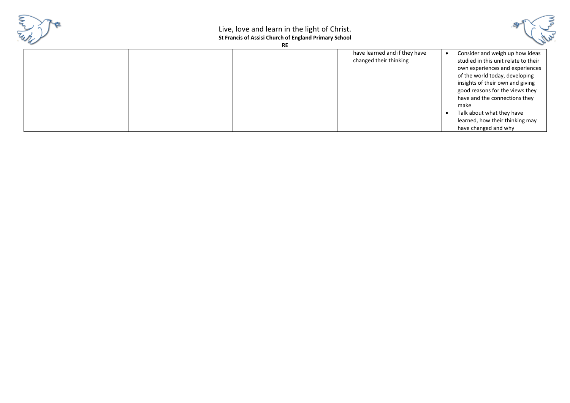

# Live, love and learn in the light of Christ. **St Francis of Assisi Church of England Primary School**



**RE** 

|  | have learned and if they have | Consider and weigh up how ideas      |  |
|--|-------------------------------|--------------------------------------|--|
|  | changed their thinking        | studied in this unit relate to their |  |
|  |                               | own experiences and experiences      |  |
|  |                               | of the world today, developing       |  |
|  |                               | insights of their own and giving     |  |
|  |                               | good reasons for the views they      |  |
|  |                               | have and the connections they        |  |
|  |                               | make                                 |  |
|  |                               | Talk about what they have            |  |
|  |                               | learned, how their thinking may      |  |
|  |                               | have changed and why                 |  |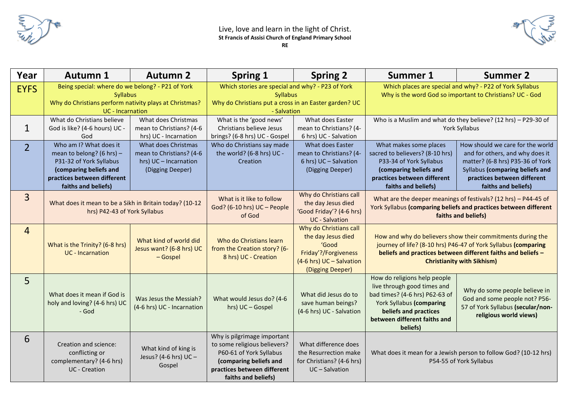



| Year           | <b>Autumn 1</b>                                                                                                                                                | <b>Autumn 2</b>                                                                              | <b>Spring 1</b>                                                                                                                                                        | <b>Spring 2</b>                                                                                                               | Summer 1                                                                                                                                                                                                                          | <b>Summer 2</b>                                                                                                                                                                                  |
|----------------|----------------------------------------------------------------------------------------------------------------------------------------------------------------|----------------------------------------------------------------------------------------------|------------------------------------------------------------------------------------------------------------------------------------------------------------------------|-------------------------------------------------------------------------------------------------------------------------------|-----------------------------------------------------------------------------------------------------------------------------------------------------------------------------------------------------------------------------------|--------------------------------------------------------------------------------------------------------------------------------------------------------------------------------------------------|
| <b>EYFS</b>    | Being special: where do we belong? - P21 of York<br><b>Syllabus</b><br>Why do Christians perform nativity plays at Christmas?<br><b>UC</b> - Incarnation       |                                                                                              | Which stories are special and why? - P23 of York<br><b>Syllabus</b><br>Why do Christians put a cross in an Easter garden? UC<br>- Salvation                            |                                                                                                                               | Which places are special and why? - P22 of York Syllabus<br>Why is the word God so important to Christians? UC - God                                                                                                              |                                                                                                                                                                                                  |
| $\mathbf{1}$   | What do Christians believe<br>God is like? (4-6 hours) UC -<br>God                                                                                             | What does Christmas<br>mean to Christians? (4-6<br>hrs) UC - Incarnation                     | What is the 'good news'<br>Christians believe Jesus<br>brings? (6-8 hrs) UC - Gospel                                                                                   | What does Easter<br>mean to Christians? (4-<br>6 hrs) UC - Salvation                                                          | Who is a Muslim and what do they believe? (12 hrs) - P29-30 of<br>York Syllabus                                                                                                                                                   |                                                                                                                                                                                                  |
| $\overline{2}$ | Who am I? What does it<br>mean to belong? (6 hrs) -<br>P31-32 of York Syllabus<br>(comparing beliefs and<br>practices between different<br>faiths and beliefs) | What does Christmas<br>mean to Christians? (4-6<br>hrs) UC - Incarnation<br>(Digging Deeper) | Who do Christians say made<br>the world? (6-8 hrs) UC -<br>Creation                                                                                                    | What does Easter<br>mean to Christians? (4-<br>6 hrs) UC - Salvation<br>(Digging Deeper)                                      | What makes some places<br>sacred to believers? (8-10 hrs)<br>P33-34 of York Syllabus<br>(comparing beliefs and<br>practices between different<br>faiths and beliefs)                                                              | How should we care for the world<br>and for others, and why does it<br>matter? (6-8 hrs) P35-36 of York<br>Syllabus (comparing beliefs and<br>practices between different<br>faiths and beliefs) |
| $\overline{3}$ | What does it mean to be a Sikh in Britain today? (10-12<br>hrs) P42-43 of York Syllabus                                                                        |                                                                                              | What is it like to follow<br>God? (6-10 hrs) UC - People<br>of God                                                                                                     | Why do Christians call<br>the day Jesus died<br>'Good Friday'? (4-6 hrs)<br><b>UC</b> - Salvation                             | What are the deeper meanings of festivals? (12 hrs) - P44-45 of<br>York Syllabus (comparing beliefs and practices between different<br>faiths and beliefs)                                                                        |                                                                                                                                                                                                  |
| $\overline{4}$ | What is the Trinity? (6-8 hrs)<br><b>UC</b> - Incarnation                                                                                                      | What kind of world did<br>Jesus want? (6-8 hrs) UC<br>$-$ Gospel                             | Who do Christians learn<br>from the Creation story? (6-<br>8 hrs) UC - Creation                                                                                        | Why do Christians call<br>the day Jesus died<br>'Good<br>Friday'?/Forgiveness<br>(4-6 hrs) UC - Salvation<br>(Digging Deeper) | How and why do believers show their commitments during the<br>journey of life? (8-10 hrs) P46-47 of York Syllabus (comparing<br>beliefs and practices between different faiths and beliefs -<br><b>Christianity with Sikhism)</b> |                                                                                                                                                                                                  |
| 5              | What does it mean if God is<br>holy and loving? (4-6 hrs) UC<br>- God                                                                                          | Was Jesus the Messiah?<br>(4-6 hrs) UC - Incarnation                                         | What would Jesus do? (4-6<br>hrs) UC - Gospel                                                                                                                          | What did Jesus do to<br>save human beings?<br>(4-6 hrs) UC - Salvation                                                        | How do religions help people<br>live through good times and<br>bad times? (4-6 hrs) P62-63 of<br><b>York Syllabus (comparing</b><br>beliefs and practices<br>between different faiths and<br>beliefs)                             | Why do some people believe in<br>God and some people not? P56-<br>57 of York Syllabus (secular/non-<br>religious world views)                                                                    |
| 6              | Creation and science:<br>conflicting or<br>complementary? (4-6 hrs)<br><b>UC</b> - Creation                                                                    | What kind of king is<br>Jesus? (4-6 hrs) UC -<br>Gospel                                      | Why is pilgrimage important<br>to some religious believers?<br>P60-61 of York Syllabus<br>(comparing beliefs and<br>practices between different<br>faiths and beliefs) | What difference does<br>the Resurrection make<br>for Christians? (4-6 hrs)<br>UC-Salvation                                    | What does it mean for a Jewish person to follow God? (10-12 hrs)<br>P54-55 of York Syllabus                                                                                                                                       |                                                                                                                                                                                                  |